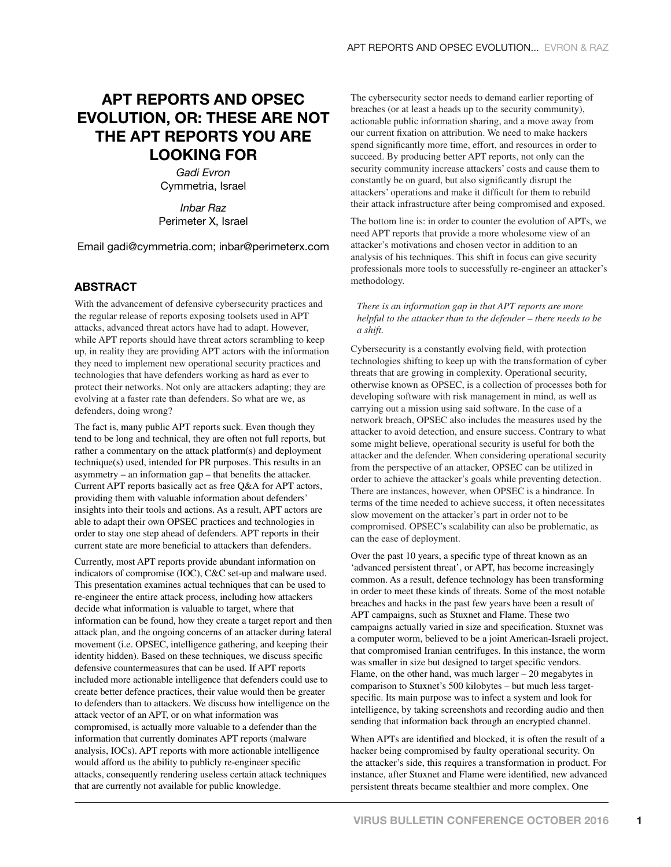## **APT REPORTS AND OPSEC EVOLUTION, OR: THESE ARE NOT THE APT REPORTS YOU ARE LOOKING FOR**

*Gadi Evron* Cymmetria, Israel

*Inbar Raz* Perimeter X, Israel

Email gadi@cymmetria.com; inbar@perimeterx.com

## **ABSTRACT**

With the advancement of defensive cybersecurity practices and the regular release of reports exposing toolsets used in APT attacks, advanced threat actors have had to adapt. However, while APT reports should have threat actors scrambling to keep up, in reality they are providing APT actors with the information they need to implement new operational security practices and technologies that have defenders working as hard as ever to protect their networks. Not only are attackers adapting; they are evolving at a faster rate than defenders. So what are we, as defenders, doing wrong?

The fact is, many public APT reports suck. Even though they tend to be long and technical, they are often not full reports, but rather a commentary on the attack platform(s) and deployment technique(s) used, intended for PR purposes. This results in an asymmetry – an information gap – that benefits the attacker. Current APT reports basically act as free Q&A for APT actors, providing them with valuable information about defenders' insights into their tools and actions. As a result, APT actors are able to adapt their own OPSEC practices and technologies in order to stay one step ahead of defenders. APT reports in their current state are more beneficial to attackers than defenders.

Currently, most APT reports provide abundant information on indicators of compromise (IOC), C&C set-up and malware used. This presentation examines actual techniques that can be used to re-engineer the entire attack process, including how attackers decide what information is valuable to target, where that information can be found, how they create a target report and then attack plan, and the ongoing concerns of an attacker during lateral movement (i.e. OPSEC, intelligence gathering, and keeping their identity hidden). Based on these techniques, we discuss specific defensive countermeasures that can be used. If APT reports included more actionable intelligence that defenders could use to create better defence practices, their value would then be greater to defenders than to attackers. We discuss how intelligence on the attack vector of an APT, or on what information was compromised, is actually more valuable to a defender than the information that currently dominates APT reports (malware analysis, IOCs). APT reports with more actionable intelligence would afford us the ability to publicly re-engineer specific attacks, consequently rendering useless certain attack techniques that are currently not available for public knowledge.

The cybersecurity sector needs to demand earlier reporting of breaches (or at least a heads up to the security community), actionable public information sharing, and a move away from our current fixation on attribution. We need to make hackers spend significantly more time, effort, and resources in order to succeed. By producing better APT reports, not only can the security community increase attackers' costs and cause them to constantly be on guard, but also significantly disrupt the attackers' operations and make it difficult for them to rebuild their attack infrastructure after being compromised and exposed.

The bottom line is: in order to counter the evolution of APTs, we need APT reports that provide a more wholesome view of an attacker's motivations and chosen vector in addition to an analysis of his techniques. This shift in focus can give security professionals more tools to successfully re-engineer an attacker's methodology.

## *There is an information gap in that APT reports are more helpful to the attacker than to the defender – there needs to be a shift.*

Cybersecurity is a constantly evolving field, with protection technologies shifting to keep up with the transformation of cyber threats that are growing in complexity. Operational security, otherwise known as OPSEC, is a collection of processes both for developing software with risk management in mind, as well as carrying out a mission using said software. In the case of a network breach, OPSEC also includes the measures used by the attacker to avoid detection, and ensure success. Contrary to what some might believe, operational security is useful for both the attacker and the defender. When considering operational security from the perspective of an attacker, OPSEC can be utilized in order to achieve the attacker's goals while preventing detection. There are instances, however, when OPSEC is a hindrance. In terms of the time needed to achieve success, it often necessitates slow movement on the attacker's part in order not to be compromised. OPSEC's scalability can also be problematic, as can the ease of deployment.

Over the past 10 years, a specific type of threat known as an 'advanced persistent threat', or APT, has become increasingly common. As a result, defence technology has been transforming in order to meet these kinds of threats. Some of the most notable breaches and hacks in the past few years have been a result of APT campaigns, such as Stuxnet and Flame. These two campaigns actually varied in size and specification. Stuxnet was a computer worm, believed to be a joint American-Israeli project, that compromised Iranian centrifuges. In this instance, the worm was smaller in size but designed to target specific vendors. Flame, on the other hand, was much larger – 20 megabytes in comparison to Stuxnet's 500 kilobytes – but much less targetspecific. Its main purpose was to infect a system and look for intelligence, by taking screenshots and recording audio and then sending that information back through an encrypted channel.

When APTs are identified and blocked, it is often the result of a hacker being compromised by faulty operational security. On the attacker's side, this requires a transformation in product. For instance, after Stuxnet and Flame were identified, new advanced persistent threats became stealthier and more complex. One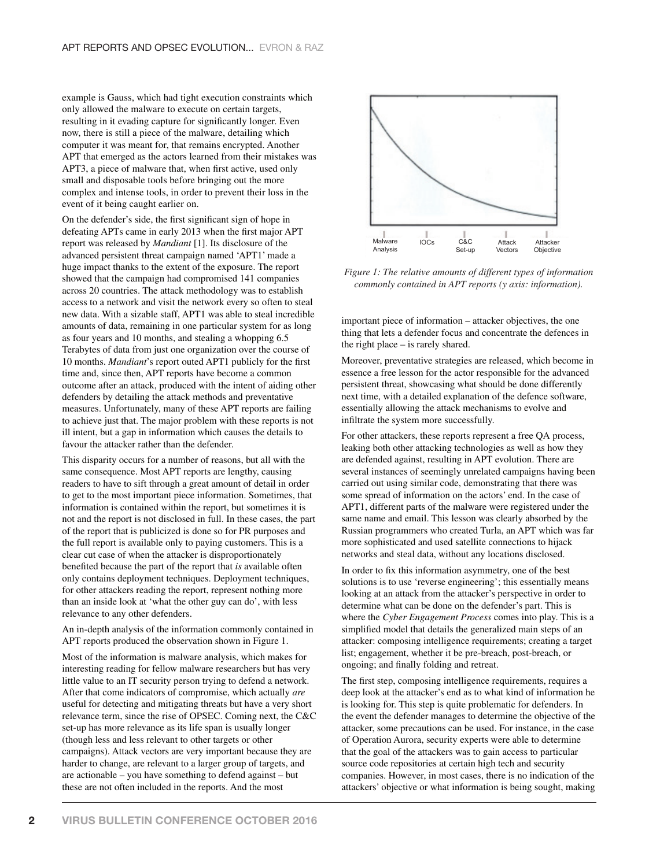example is Gauss, which had tight execution constraints which only allowed the malware to execute on certain targets, resulting in it evading capture for significantly longer. Even now, there is still a piece of the malware, detailing which computer it was meant for, that remains encrypted. Another APT that emerged as the actors learned from their mistakes was APT3, a piece of malware that, when first active, used only small and disposable tools before bringing out the more complex and intense tools, in order to prevent their loss in the event of it being caught earlier on.

On the defender's side, the first significant sign of hope in defeating APTs came in early 2013 when the first major APT report was released by *Mandiant* [1]. Its disclosure of the advanced persistent threat campaign named 'APT1' made a huge impact thanks to the extent of the exposure. The report showed that the campaign had compromised 141 companies across 20 countries. The attack methodology was to establish access to a network and visit the network every so often to steal new data. With a sizable staff, APT1 was able to steal incredible amounts of data, remaining in one particular system for as long as four years and 10 months, and stealing a whopping 6.5 Terabytes of data from just one organization over the course of 10 months. *Mandiant*'s report outed APT1 publicly for the first time and, since then, APT reports have become a common outcome after an attack, produced with the intent of aiding other defenders by detailing the attack methods and preventative measures. Unfortunately, many of these APT reports are failing to achieve just that. The major problem with these reports is not ill intent, but a gap in information which causes the details to favour the attacker rather than the defender.

This disparity occurs for a number of reasons, but all with the same consequence. Most APT reports are lengthy, causing readers to have to sift through a great amount of detail in order to get to the most important piece information. Sometimes, that information is contained within the report, but sometimes it is not and the report is not disclosed in full. In these cases, the part of the report that is publicized is done so for PR purposes and the full report is available only to paying customers. This is a clear cut case of when the attacker is disproportionately benefited because the part of the report that *is* available often only contains deployment techniques. Deployment techniques, for other attackers reading the report, represent nothing more than an inside look at 'what the other guy can do', with less relevance to any other defenders.

An in-depth analysis of the information commonly contained in APT reports produced the observation shown in Figure 1.

Most of the information is malware analysis, which makes for interesting reading for fellow malware researchers but has very little value to an IT security person trying to defend a network. After that come indicators of compromise, which actually *are* useful for detecting and mitigating threats but have a very short relevance term, since the rise of OPSEC. Coming next, the C&C set-up has more relevance as its life span is usually longer (though less and less relevant to other targets or other campaigns). Attack vectors are very important because they are harder to change, are relevant to a larger group of targets, and are actionable – you have something to defend against – but these are not often included in the reports. And the most



*Figure 1: The relative amounts of different types of information commonly contained in APT reports (y axis: information).*

important piece of information – attacker objectives, the one thing that lets a defender focus and concentrate the defences in the right place – is rarely shared.

Moreover, preventative strategies are released, which become in essence a free lesson for the actor responsible for the advanced persistent threat, showcasing what should be done differently next time, with a detailed explanation of the defence software, essentially allowing the attack mechanisms to evolve and infiltrate the system more successfully.

For other attackers, these reports represent a free QA process, leaking both other attacking technologies as well as how they are defended against, resulting in APT evolution. There are several instances of seemingly unrelated campaigns having been carried out using similar code, demonstrating that there was some spread of information on the actors' end. In the case of APT1, different parts of the malware were registered under the same name and email. This lesson was clearly absorbed by the Russian programmers who created Turla, an APT which was far more sophisticated and used satellite connections to hijack networks and steal data, without any locations disclosed.

In order to fix this information asymmetry, one of the best solutions is to use 'reverse engineering'; this essentially means looking at an attack from the attacker's perspective in order to determine what can be done on the defender's part. This is where the *Cyber Engagement Process* comes into play. This is a simplified model that details the generalized main steps of an attacker: composing intelligence requirements; creating a target list; engagement, whether it be pre-breach, post-breach, or ongoing; and finally folding and retreat.

The first step, composing intelligence requirements, requires a deep look at the attacker's end as to what kind of information he is looking for. This step is quite problematic for defenders. In the event the defender manages to determine the objective of the attacker, some precautions can be used. For instance, in the case of Operation Aurora, security experts were able to determine that the goal of the attackers was to gain access to particular source code repositories at certain high tech and security companies. However, in most cases, there is no indication of the attackers' objective or what information is being sought, making